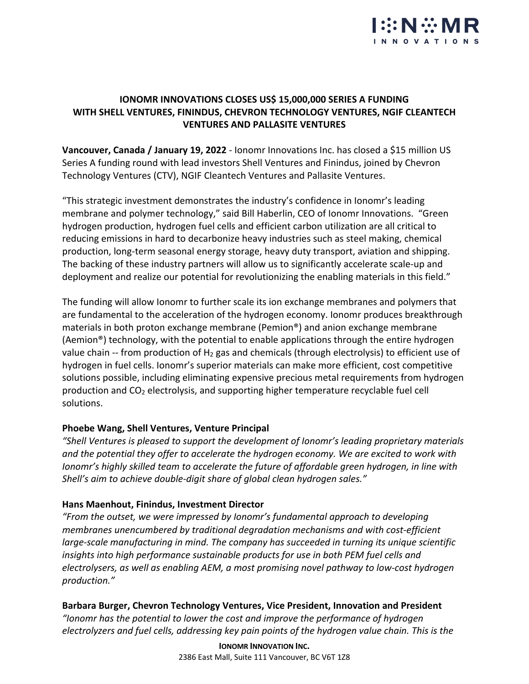

# **IONOMR INNOVATIONS CLOSES US\$ 15,000,000 SERIES A FUNDING WITH SHELL VENTURES, FININDUS, CHEVRON TECHNOLOGY VENTURES, NGIF CLEANTECH VENTURES AND PALLASITE VENTURES**

**Vancouver, Canada / January 19, 2022** - Ionomr Innovations Inc. has closed a \$15 million US Series A funding round with lead investors Shell Ventures and Finindus, joined by Chevron Technology Ventures (CTV), NGIF Cleantech Ventures and Pallasite Ventures.

"This strategic investment demonstrates the industry's confidence in Ionomr's leading membrane and polymer technology," said Bill Haberlin, CEO of Ionomr Innovations. "Green hydrogen production, hydrogen fuel cells and efficient carbon utilization are all critical to reducing emissions in hard to decarbonize heavy industries such as steel making, chemical production, long-term seasonal energy storage, heavy duty transport, aviation and shipping. The backing of these industry partners will allow us to significantly accelerate scale-up and deployment and realize our potential for revolutionizing the enabling materials in this field."

The funding will allow Ionomr to further scale its ion exchange membranes and polymers that are fundamental to the acceleration of the hydrogen economy. Ionomr produces breakthrough materials in both proton exchange membrane (Pemion®) and anion exchange membrane (Aemion®) technology, with the potential to enable applications through the entire hydrogen value chain -- from production of  $H_2$  gas and chemicals (through electrolysis) to efficient use of hydrogen in fuel cells. Ionomr's superior materials can make more efficient, cost competitive solutions possible, including eliminating expensive precious metal requirements from hydrogen production and CO2 electrolysis, and supporting higher temperature recyclable fuel cell solutions.

# **Phoebe Wang, Shell Ventures, Venture Principal**

*"Shell Ventures is pleased to support the development of Ionomr's leading proprietary materials and the potential they offer to accelerate the hydrogen economy. We are excited to work with Ionomr's highly skilled team to accelerate the future of affordable green hydrogen, in line with Shell's aim to achieve double-digit share of global clean hydrogen sales."*

#### **Hans Maenhout, Finindus, Investment Director**

*"From the outset, we were impressed by Ionomr's fundamental approach to developing membranes unencumbered by traditional degradation mechanisms and with cost-efficient large-scale manufacturing in mind. The company has succeeded in turning its unique scientific insights into high performance sustainable products for use in both PEM fuel cells and electrolysers, as well as enabling AEM, a most promising novel pathway to low-cost hydrogen production."*

# **Barbara Burger, Chevron Technology Ventures, Vice President, Innovation and President**

*"Ionomr has the potential to lower the cost and improve the performance of hydrogen electrolyzers and fuel cells, addressing key pain points of the hydrogen value chain. This is the* 

> **IONOMR INNOVATION INC.** 2386 East Mall, Suite 111 Vancouver, BC V6T 1Z8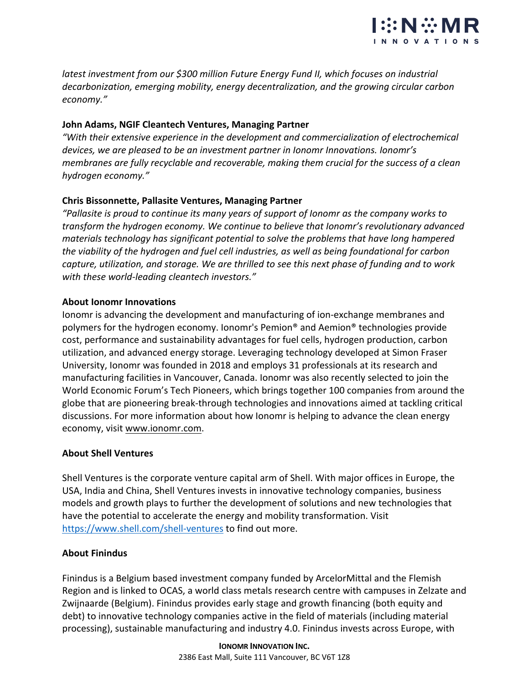

*latest investment from our \$300 million Future Energy Fund II, which focuses on industrial decarbonization, emerging mobility, energy decentralization, and the growing circular carbon economy."*

# **John Adams, NGIF Cleantech Ventures, Managing Partner**

*"With their extensive experience in the development and commercialization of electrochemical devices, we are pleased to be an investment partner in Ionomr Innovations. Ionomr's membranes are fully recyclable and recoverable, making them crucial for the success of a clean hydrogen economy."*

# **Chris Bissonnette, Pallasite Ventures, Managing Partner**

*"Pallasite is proud to continue its many years of support of Ionomr as the company works to transform the hydrogen economy. We continue to believe that Ionomr's revolutionary advanced materials technology has significant potential to solve the problems that have long hampered the viability of the hydrogen and fuel cell industries, as well as being foundational for carbon capture, utilization, and storage. We are thrilled to see this next phase of funding and to work with these world-leading cleantech investors."*

# **About Ionomr Innovations**

Ionomr is advancing the development and manufacturing of ion-exchange membranes and polymers for the hydrogen economy. Ionomr's Pemion® and Aemion® technologies provide cost, performance and sustainability advantages for fuel cells, hydrogen production, carbon utilization, and advanced energy storage. Leveraging technology developed at Simon Fraser University, Ionomr was founded in 2018 and employs 31 professionals at its research and manufacturing facilities in Vancouver, Canada. Ionomr was also recently selected to join the World Economic Forum's Tech Pioneers, which brings together 100 companies from around the globe that are pioneering break-through technologies and innovations aimed at tackling critical discussions. For more information about how Ionomr is helping to advance the clean energy economy, visit www.ionomr.com.

# **About Shell Ventures**

Shell Ventures is the corporate venture capital arm of Shell. With major offices in Europe, the USA, India and China, Shell Ventures invests in innovative technology companies, business models and growth plays to further the development of solutions and new technologies that have the potential to accelerate the energy and mobility transformation. Visit https://www.shell.com/shell-ventures to find out more.

# **About Finindus**

Finindus is a Belgium based investment company funded by ArcelorMittal and the Flemish Region and is linked to OCAS, a world class metals research centre with campuses in Zelzate and Zwijnaarde (Belgium). Finindus provides early stage and growth financing (both equity and debt) to innovative technology companies active in the field of materials (including material processing), sustainable manufacturing and industry 4.0. Finindus invests across Europe, with